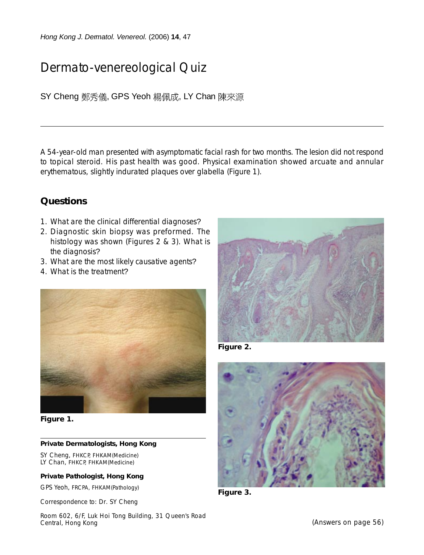*Hong Kong J. Dermatol. Venereol.* (2006) **14**, 47

# Dermato-venereological Quiz

SY Cheng 鄭秀儀, GPS Yeoh 楊佩成, LY Chan 陳來源

A 54-year-old man presented with asymptomatic facial rash for two months. The lesion did not respond to topical steroid. His past health was good. Physical examination showed arcuate and annular erythematous, slightly indurated plaques over glabella (Figure 1).

### **Questions**

- 1. What are the clinical differential diagnoses?
- 2. Diagnostic skin biopsy was preformed. The histology was shown (Figures 2 & 3). What is the diagnosis?
- 3. What are the most likely causative agents?
- 4. What is the treatment?



**Figure 1.**

#### **Private Dermatologists, Hong Kong**

SY Cheng, FHKCP, FHKAM(Medicine) LY Chan, FHKCP, FHKAM(Medicine)

#### **Private Pathologist, Hong Kong**

GPS Yeoh, FRCPA, FHKAM(Pathology)

Correspondence to: Dr. SY Cheng

Room 602, 6/F, Luk Hoi Tong Building, 31 Queen's Road Central, Hong Kong



**Figure 2.**



**Figure 3.**